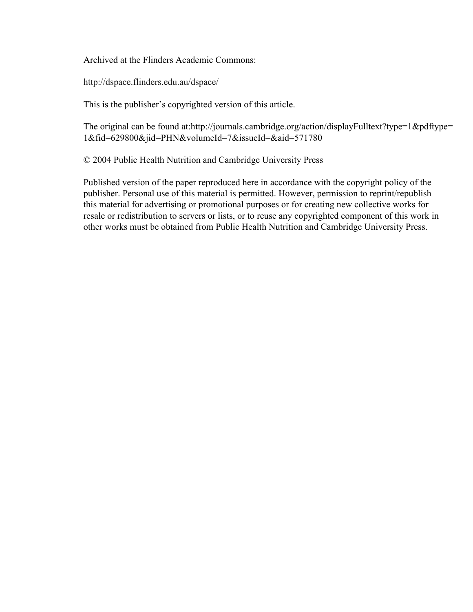Archived at the Flinders Academic Commons:

http://dspace.flinders.edu.au/dspace/

This is the publisher's copyrighted version of this article.

The original can be found at:http://journals.cambridge.org/action/displayFulltext?type=1&pdftype= 1&fid=629800&jid=PHN&volumeId=7&issueId=&aid=571780

© 2004 Public Health Nutrition and Cambridge University Press

Published version of the paper reproduced here in accordance with the copyright policy of the publisher. Personal use of this material is permitted. However, permission to reprint/republish this material for advertising or promotional purposes or for creating new collective works for resale or redistribution to servers or lists, or to reuse any copyrighted component of this work in other works must be obtained from Public Health Nutrition and Cambridge University Press.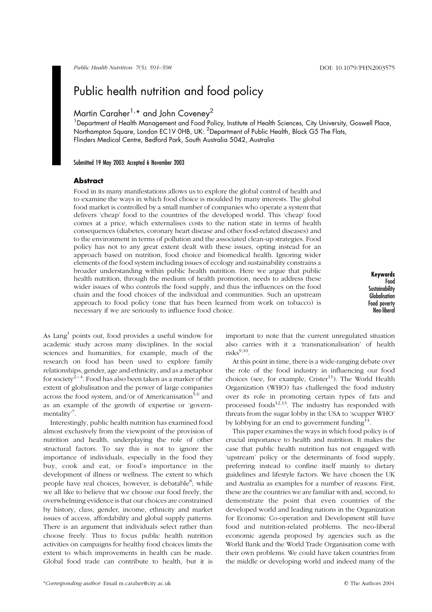Public Health Nutrition: 7(5), 591–598 DOI: 10.1079/PHN2003575

# Public health nutrition and food policy

## Martin Caraher<sup>1,\*</sup> and John Coveney<sup>2</sup>

<sup>1</sup> Department of Health Management and Food Policy, Institute of Health Sciences, City University, Goswell Place, Northampton Square, London EC1V OHB, UK: <sup>2</sup>Department of Public Health, Block G5 The Flats, Flinders Medical Centre, Bedford Park, South Australia 5042, Australia

#### Submitted 19 May 2003: Accepted 6 November 2003

#### Abstract

Food in its many manifestations allows us to explore the global control of health and to examine the ways in which food choice is moulded by many interests. The global food market is controlled by a small number of companies who operate a system that delivers 'cheap' food to the countries of the developed world. This 'cheap' food comes at a price, which externalises costs to the nation state in terms of health consequences (diabetes, coronary heart disease and other food-related diseases) and to the environment in terms of pollution and the associated clean-up strategies. Food policy has not to any great extent dealt with these issues, opting instead for an approach based on nutrition, food choice and biomedical health. Ignoring wider elements of the food system including issues of ecology and sustainability constrains a broader understanding within public health nutrition. Here we argue that public health nutrition, through the medium of health promotion, needs to address these wider issues of who controls the food supply, and thus the influences on the food chain and the food choices of the individual and communities. Such an upstream approach to food policy (one that has been learned from work on tobacco) is necessary if we are seriously to influence food choice.

Keywords Food **Sustainability Globalisation** Food poverty Neo-liberal

As Lang<sup>1</sup> points out, food provides a useful window for academic study across many disciplines. In the social sciences and humanities, for example, much of the research on food has been used to explore family relationships, gender, age and ethnicity, and as a metaphor for society<sup>2–4</sup>. Food has also been taken as a marker of the extent of globalisation and the power of large companies across the food system, and/or of Americanisation<sup>5,6</sup> and as an example of the growth of expertise or 'governmentality<sup>7</sup>.

Interestingly, public health nutrition has examined food almost exclusively from the viewpoint of the provision of nutrition and health, underplaying the role of other structural factors. To say this is not to ignore the importance of individuals, especially in the food they buy, cook and eat, or food's importance in the development of illness or wellness. The extent to which people have real choices, however, is debatable<sup>8</sup>; while we all like to believe that we choose our food freely, the overwhelming evidence is that our choices are constrained by history, class, gender, income, ethnicity and market issues of access, affordability and global supply patterns. There is an argument that individuals select rather than choose freely. Thus to focus public health nutrition activities on campaigns for healthy food choices limits the extent to which improvements in health can be made. Global food trade can contribute to health, but it is

important to note that the current unregulated situation also carries with it a 'transnationalisation' of health  $risks^{9,10}$ 

At this point in time, there is a wide-ranging debate over the role of the food industry in influencing our food choices (see, for example,  $Crister<sup>11</sup>$ ). The World Health Organization (WHO) has challenged the food industry over its role in promoting certain types of fats and processed foods $12,13$ . The industry has responded with threats from the sugar lobby in the USA to 'scupper WHO' by lobbying for an end to government funding  $14$ .

This paper examines the ways in which food policy is of crucial importance to health and nutrition. It makes the case that public health nutrition has not engaged with 'upstream' policy or the determinants of food supply, preferring instead to confine itself mainly to dietary guidelines and lifestyle factors. We have chosen the UK and Australia as examples for a number of reasons. First, these are the countries we are familiar with and, second, to demonstrate the point that even countries of the developed world and leading nations in the Organization for Economic Co-operation and Development still have food and nutrition-related problems. The neo-liberal economic agenda proposed by agencies such as the World Bank and the World Trade Organisation come with their own problems. We could have taken countries from the middle or developing world and indeed many of the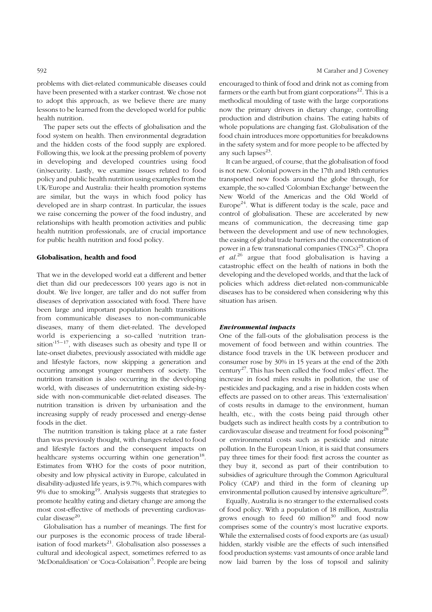problems with diet-related communicable diseases could have been presented with a starker contrast. We chose not to adopt this approach, as we believe there are many lessons to be learned from the developed world for public health nutrition.

The paper sets out the effects of globalisation and the food system on health. Then environmental degradation and the hidden costs of the food supply are explored. Following this, we look at the pressing problem of poverty in developing and developed countries using food (in)security. Lastly, we examine issues related to food policy and public health nutrition using examples from the UK/Europe and Australia: their health promotion systems are similar, but the ways in which food policy has developed are in sharp contrast. In particular, the issues we raise concerning the power of the food industry, and relationships with health promotion activities and public health nutrition professionals, are of crucial importance for public health nutrition and food policy.

### Globalisation, health and food

That we in the developed world eat a different and better diet than did our predecessors 100 years ago is not in doubt. We live longer, are taller and do not suffer from diseases of deprivation associated with food. There have been large and important population health transitions from communicable diseases to non-communicable diseases, many of them diet-related. The developed world is experiencing a so-called 'nutrition transition'15–17, with diseases such as obesity and type II or late-onset diabetes, previously associated with middle age and lifestyle factors, now skipping a generation and occurring amongst younger members of society. The nutrition transition is also occurring in the developing world, with diseases of undernutrition existing side-byside with non-communicable diet-related diseases. The nutrition transition is driven by urbanisation and the increasing supply of ready processed and energy-dense foods in the diet.

The nutrition transition is taking place at a rate faster than was previously thought, with changes related to food and lifestyle factors and the consequent impacts on healthcare systems occurring within one generation<sup>18</sup>. Estimates from WHO for the costs of poor nutrition, obesity and low physical activity in Europe, calculated in disability-adjusted life years, is 9.7%, which compares with 9% due to smoking<sup>19</sup>. Analysis suggests that strategies to promote healthy eating and dietary change are among the most cost-effective of methods of preventing cardiovascular disease<sup>20</sup>.

Globalisation has a number of meanings. The first for our purposes is the economic process of trade liberalisation of food markets $^{21}$ . Globalisation also possesses a cultural and ideological aspect, sometimes referred to as 'McDonaldisation' or 'Coca-Colaisation'<sup>5</sup>. People are being

encouraged to think of food and drink not as coming from farmers or the earth but from giant corporations<sup>22</sup>. This is a methodical moulding of taste with the large corporations now the primary drivers in dietary change, controlling production and distribution chains. The eating habits of whole populations are changing fast. Globalisation of the food chain introduces more opportunities for breakdowns in the safety system and for more people to be affected by any such lapses $^{23}$ .

It can be argued, of course, that the globalisation of food is not new. Colonial powers in the 17th and 18th centuries transported new foods around the globe through, for example, the so-called 'Colombian Exchange' between the New World of the Americas and the Old World of Europe<sup>24</sup>. What is different today is the scale, pace and control of globalisation. These are accelerated by new means of communication, the decreasing time gap between the development and use of new technologies, the easing of global trade barriers and the concentration of power in a few transnational companies  $(TNCs)^{25}$ . Chopra *et al.*<sup>26</sup> argue that food globalisation is having a catastrophic effect on the health of nations in both the developing and the developed worlds, and that the lack of policies which address diet-related non-communicable diseases has to be considered when considering why this situation has arisen.

#### Environmental impacts

One of the fall-outs of the globalisation process is the movement of food between and within countries. The distance food travels in the UK between producer and consumer rose by 30% in 15 years at the end of the 20th century27. This has been called the 'food miles' effect. The increase in food miles results in pollution, the use of pesticides and packaging, and a rise in hidden costs when effects are passed on to other areas. This 'externalisation' of costs results in damage to the environment, human health, etc., with the costs being paid through other budgets such as indirect health costs by a contribution to cardiovascular disease and treatment for food poisoning<sup>28</sup> or environmental costs such as pesticide and nitrate pollution. In the European Union, it is said that consumers pay three times for their food: first across the counter as they buy it, second as part of their contribution to subsidies of agriculture through the Common Agricultural Policy (CAP) and third in the form of cleaning up environmental pollution caused by intensive agriculture<sup>29</sup>.

Equally, Australia is no stranger to the externalised costs of food policy. With a population of 18 million, Australia grows enough to feed  $60$  million<sup>30</sup> and food now comprises some of the country's most lucrative exports. While the externalised costs of food exports are (as usual) hidden, starkly visible are the effects of such intensified food production systems: vast amounts of once arable land now laid barren by the loss of topsoil and salinity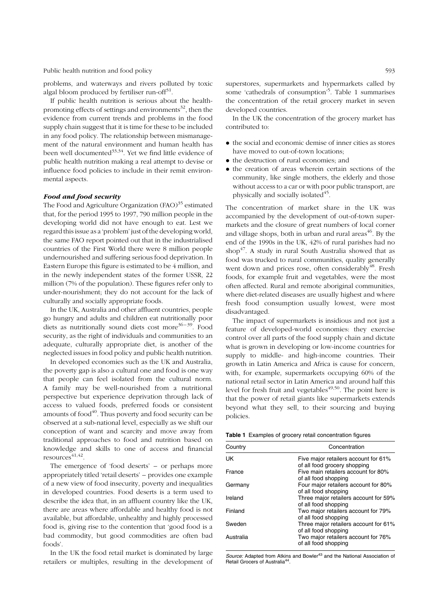Public health nutrition and food policy 593

problems, and waterways and rivers polluted by toxic algal bloom produced by fertiliser run-off $31$ .

If public health nutrition is serious about the healthpromoting effects of settings and environments $32$ , then the evidence from current trends and problems in the food supply chain suggest that it is time for these to be included in any food policy. The relationship between mismanagement of the natural environment and human health has been well documented<sup>33,34</sup>. Yet we find little evidence of public health nutrition making a real attempt to devise or influence food policies to include in their remit environmental aspects.

### Food and food security

The Food and Agriculture Organization  $(FAO)^{35}$  estimated that, for the period 1995 to 1997, 790 million people in the developing world did not have enough to eat. Lest we regard this issue as a 'problem' just of the developing world, the same FAO report pointed out that in the industrialised countries of the First World there were 8 million people undernourished and suffering serious food deprivation. In Eastern Europe this figure is estimated to be 4 million, and in the newly independent states of the former USSR, 22 million (7% of the population). These figures refer only to under-nourishment; they do not account for the lack of culturally and socially appropriate foods.

In the UK, Australia and other affluent countries, people go hungry and adults and children eat nutritionally poor diets as nutritionally sound diets cost more<sup>36-39</sup>. Food security, as the right of individuals and communities to an adequate, culturally appropriate diet, is another of the neglected issues in food policy and public health nutrition.

In developed economies such as the UK and Australia, the poverty gap is also a cultural one and food is one way that people can feel isolated from the cultural norm. A family may be well-nourished from a nutritional perspective but experience deprivation through lack of access to valued foods, preferred foods or consistent amounts of food $40$ . Thus poverty and food security can be observed at a sub-national level, especially as we shift our conception of want and scarcity and move away from traditional approaches to food and nutrition based on knowledge and skills to one of access and financial  $resources^{41,42}.$ 

The emergence of 'food deserts' – or perhaps more appropriately titled 'retail deserts' – provides one example of a new view of food insecurity, poverty and inequalities in developed countries. Food deserts is a term used to describe the idea that, in an affluent country like the UK, there are areas where affordable and healthy food is not available, but affordable, unhealthy and highly processed food is, giving rise to the contention that 'good food is a bad commodity, but good commodities are often bad foods'.

In the UK the food retail market is dominated by large retailers or multiples, resulting in the development of

superstores, supermarkets and hypermarkets called by some 'cathedrals of consumption'<sup>5</sup>. Table 1 summarises the concentration of the retail grocery market in seven developed countries.

In the UK the concentration of the grocery market has contributed to:

- . the social and economic demise of inner cities as stores have moved to out-of-town locations;
- . the destruction of rural economies; and
- . the creation of areas wherein certain sections of the community, like single mothers, the elderly and those without access to a car or with poor public transport, are physically and socially isolated<sup>45</sup>.

The concentration of market share in the UK was accompanied by the development of out-of-town supermarkets and the closure of great numbers of local corner and village shops, both in urban and rural areas $46$ . By the end of the 1990s in the UK, 42% of rural parishes had no shop<sup>47</sup>. A study in rural South Australia showed that as food was trucked to rural communities, quality generally went down and prices rose, often considerably<sup>48</sup>. Fresh foods, for example fruit and vegetables, were the most often affected. Rural and remote aboriginal communities, where diet-related diseases are usually highest and where fresh food consumption usually lowest, were most disadvantaged.

The impact of supermarkets is insidious and not just a feature of developed-world economies: they exercise control over all parts of the food supply chain and dictate what is grown in developing or low-income countries for supply to middle- and high-income countries. Their growth in Latin America and Africa is cause for concern, with, for example, supermarkets occupying 60% of the national retail sector in Latin America and around half this level for fresh fruit and vegetables<sup> $49,50$ </sup>. The point here is that the power of retail giants like supermarkets extends beyond what they sell, to their sourcing and buying policies.

| Country   | Concentration                                                        |
|-----------|----------------------------------------------------------------------|
| UK        | Five major retailers account for 61%<br>of all food grocery shopping |
| France    | Five main retailers account for 80%<br>of all food shopping          |
| Germany   | Four major retailers account for 80%<br>of all food shopping         |
| Ireland   | Three major retailers account for 59%<br>of all food shopping        |
| Finland   | Two major retailers account for 79%<br>of all food shopping          |
| Sweden    | Three major retailers account for 61%<br>of all food shopping        |
| Australia | Two major retailers account for 76%<br>of all food shopping          |

Source: Adapted from Atkins and Bowler<sup>43</sup> and the National Association of Retail Grocers of Australia<sup>4</sup>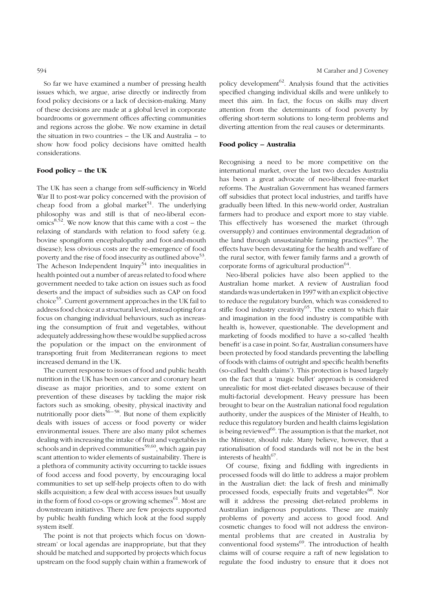So far we have examined a number of pressing health issues which, we argue, arise directly or indirectly from food policy decisions or a lack of decision-making. Many of these decisions are made at a global level in corporate boardrooms or government offices affecting communities and regions across the globe. We now examine in detail the situation in two countries – the UK and Australia – to show how food policy decisions have omitted health considerations.

#### Food policy – the UK

The UK has seen a change from self-sufficiency in World War II to post-war policy concerned with the provision of cheap food from a global market<sup>51</sup>. The underlying philosophy was and still is that of neo-liberal econ $omics^{8,52}$ . We now know that this came with a cost – the relaxing of standards with relation to food safety (e.g. bovine spongiform encephalopathy and foot-and-mouth disease); less obvious costs are the re-emergence of food poverty and the rise of food insecurity as outlined above<sup>53</sup>. The Acheson Independent Inquiry<sup>54</sup> into inequalities in health pointed out a number of areas related to food where government needed to take action on issues such as food deserts and the impact of subsidies such as CAP on food choice55. Current government approaches in the UK fail to address food choice at a structural level, insteadopting fora focus on changing individual behaviours, such as increasing the consumption of fruit and vegetables, without adequately addressing how these would be supplied across the population or the impact on the environment of transporting fruit from Mediterranean regions to meet increased demand in the UK.

The current response to issues of food and public health nutrition in the UK has been on cancer and coronary heart disease as major priorities, and to some extent on prevention of these diseases by tackling the major risk factors such as smoking, obesity, physical inactivity and nutritionally poor diets<sup>56–58</sup>. But none of them explicitly deals with issues of access or food poverty or wider environmental issues. There are also many pilot schemes dealing with increasing the intake of fruit and vegetables in schools and in deprived communities<sup>59,60</sup>, which again pay scant attention to wider elements of sustainability. There is a plethora of community activity occurring to tackle issues of food access and food poverty, by encouraging local communities to set up self-help projects often to do with skills acquisition; a few deal with access issues but usually in the form of food co-ops or growing schemes<sup>61</sup>. Most are downstream initiatives. There are few projects supported by public health funding which look at the food supply system itself.

The point is not that projects which focus on 'downstream' or local agendas are inappropriate, but that they should be matched and supported by projects which focus upstream on the food supply chain within a framework of policy development $^{62}$ . Analysis found that the activities specified changing individual skills and were unlikely to meet this aim. In fact, the focus on skills may divert attention from the determinants of food poverty by offering short-term solutions to long-term problems and diverting attention from the real causes or determinants.

#### Food policy – Australia

Recognising a need to be more competitive on the international market, over the last two decades Australia has been a great advocate of neo-liberal free-market reforms. The Australian Government has weaned farmers off subsidies that protect local industries, and tariffs have gradually been lifted. In this new-world order, Australian farmers had to produce and export more to stay viable. This effectively has worsened the market (through oversupply) and continues environmental degradation of the land through unsustainable farming practices $^{63}$ . The effects have been devastating for the health and welfare of the rural sector, with fewer family farms and a growth of corporate forms of agricultural production $64$ .

Neo-liberal policies have also been applied to the Australian home market. A review of Australian food standards was undertaken in 1997 with an explicit objective to reduce the regulatory burden, which was considered to stifle food industry creativity<sup>65</sup>. The extent to which flair and imagination in the food industry is compatible with health is, however, questionable. The development and marketing of foods modified to have a so-called 'health benefit' is a case in point. So far, Australian consumers have been protected by food standards preventing the labelling of foods with claims of outright and specific health benefits (so-called 'health claims'). This protection is based largely on the fact that a 'magic bullet' approach is considered unrealistic for most diet-related diseases because of their multi-factorial development. Heavy pressure has been brought to bear on the Australian national food regulation authority, under the auspices of the Minister of Health, to reduce this regulatory burden and health claims legislation is being reviewed $^{66}$ . The assumption is that the market, not the Minister, should rule. Many believe, however, that a rationalisation of food standards will not be in the best interests of health<sup>67</sup>.

Of course, fixing and fiddling with ingredients in processed foods will do little to address a major problem in the Australian diet: the lack of fresh and minimally processed foods, especially fruits and vegetables<sup>68</sup>. Nor will it address the pressing diet-related problems in Australian indigenous populations. These are mainly problems of poverty and access to good food. And cosmetic changes to food will not address the environmental problems that are created in Australia by conventional food systems<sup>69</sup>. The introduction of health claims will of course require a raft of new legislation to regulate the food industry to ensure that it does not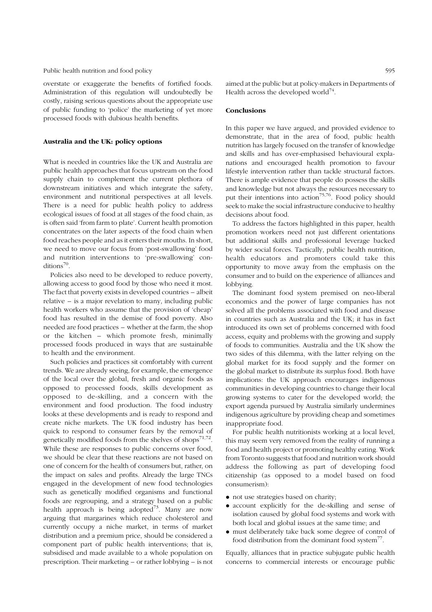#### Public health nutrition and food policy 595

overstate or exaggerate the benefits of fortified foods. Administration of this regulation will undoubtedly be costly, raising serious questions about the appropriate use of public funding to 'police' the marketing of yet more processed foods with dubious health benefits.

#### Australia and the UK: policy options

What is needed in countries like the UK and Australia are public health approaches that focus upstream on the food supply chain to complement the current plethora of downstream initiatives and which integrate the safety, environment and nutritional perspectives at all levels. There is a need for public health policy to address ecological issues of food at all stages of the food chain, as is often said 'from farm to plate'. Current health promotion concentrates on the later aspects of the food chain when food reaches people and as it enters their mouths. In short, we need to move our focus from 'post-swallowing' food and nutrition interventions to 'pre-swallowing' conditions<sup>70</sup>.

Policies also need to be developed to reduce poverty, allowing access to good food by those who need it most. The fact that poverty exists in developed countries – albeit relative – is a major revelation to many, including public health workers who assume that the provision of 'cheap' food has resulted in the demise of food poverty. Also needed are food practices – whether at the farm, the shop or the kitchen – which promote fresh, minimally processed foods produced in ways that are sustainable to health and the environment.

Such policies and practices sit comfortably with current trends. We are already seeing, for example, the emergence of the local over the global, fresh and organic foods as opposed to processed foods, skills development as opposed to de-skilling, and a concern with the environment and food production. The food industry looks at these developments and is ready to respond and create niche markets. The UK food industry has been quick to respond to consumer fears by the removal of genetically modified foods from the shelves of shops $71,72$ . While these are responses to public concerns over food, we should be clear that these reactions are not based on one of concern for the health of consumers but, rather, on the impact on sales and profits. Already the large TNCs engaged in the development of new food technologies such as genetically modified organisms and functional foods are regrouping, and a strategy based on a public health approach is being adopted<sup>73</sup>. Many are now arguing that margarines which reduce cholesterol and currently occupy a niche market, in terms of market distribution and a premium price, should be considered a component part of public health interventions; that is, subsidised and made available to a whole population on prescription. Their marketing – or rather lobbying – is not

aimed at the public but at policy-makers in Departments of Health across the developed world<sup>74</sup>.

#### Conclusions

In this paper we have argued, and provided evidence to demonstrate, that in the area of food, public health nutrition has largely focused on the transfer of knowledge and skills and has over-emphasised behavioural explanations and encouraged health promotion to favour lifestyle intervention rather than tackle structural factors. There is ample evidence that people do possess the skills and knowledge but not always the resources necessary to put their intentions into action<sup>75,76</sup>. Food policy should seek to make the social infrastructure conducive to healthy decisions about food.

To address the factors highlighted in this paper, health promotion workers need not just different orientations but additional skills and professional leverage backed by wider social forces. Tactically, public health nutrition, health educators and promoters could take this opportunity to move away from the emphasis on the consumer and to build on the experience of alliances and lobbying.

The dominant food system premised on neo-liberal economics and the power of large companies has not solved all the problems associated with food and disease in countries such as Australia and the UK; it has in fact introduced its own set of problems concerned with food access, equity and problems with the growing and supply of foods to communities. Australia and the UK show the two sides of this dilemma, with the latter relying on the global market for its food supply and the former on the global market to distribute its surplus food. Both have implications: the UK approach encourages indigenous communities in developing countries to change their local growing systems to cater for the developed world; the export agenda pursued by Australia similarly undermines indigenous agriculture by providing cheap and sometimes inappropriate food.

For public health nutritionists working at a local level, this may seem very removed from the reality of running a food and health project or promoting healthy eating. Work from Toronto suggests that food and nutrition work should address the following as part of developing food citizenship (as opposed to a model based on food consumerism):

- . not use strategies based on charity;
- . account explicitly for the de-skilling and sense of isolation caused by global food systems and work with both local and global issues at the same time; and
- . must deliberately take back some degree of control of food distribution from the dominant food system $^{77}$ .

Equally, alliances that in practice subjugate public health concerns to commercial interests or encourage public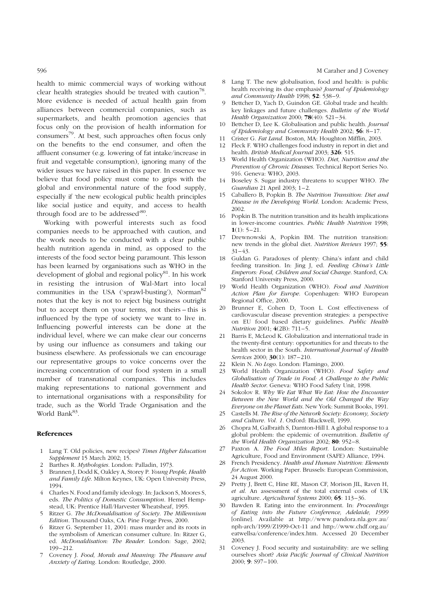health to mimic commercial ways of working without clear health strategies should be treated with caution<sup>78</sup>. More evidence is needed of actual health gain from alliances between commercial companies, such as supermarkets, and health promotion agencies that focus only on the provision of health information for consumers79. At best, such approaches often focus only on the benefits to the end consumer, and often the affluent consumer (e.g. lowering of fat intake/increase in fruit and vegetable consumption), ignoring many of the wider issues we have raised in this paper. In essence we believe that food policy must come to grips with the global and environmental nature of the food supply, especially if 'the new ecological public health principles like social justice and equity, and access to health through food are to be addressed<sup>'80</sup>.

Working with powerful interests such as food companies needs to be approached with caution, and the work needs to be conducted with a clear public health nutrition agenda in mind, as opposed to the interests of the food sector being paramount. This lesson has been learned by organisations such as WHO in the development of global and regional policy<sup>81</sup>. In his work in resisting the intrusion of Wal-Mart into local communities in the USA ('sprawl-busting'), Norman<sup>82</sup> notes that the key is not to reject big business outright but to accept them on your terms, not theirs – this is influenced by the type of society we want to live in. Influencing powerful interests can be done at the individual level, where we can make clear our concerns by using our influence as consumers and taking our business elsewhere. As professionals we can encourage our representative groups to voice concerns over the increasing concentration of our food system in a small number of transnational companies. This includes making representations to national government and to international organisations with a responsibility for trade, such as the World Trade Organisation and the World Bank<sup>83</sup>.

#### References

- 1 Lang T. Old policies, new recipes? Times Higher Education Supplement 15 March 2002; 15.
- 2 Barthes R. Mythologies. London: Palladin, 1973.
- 3 Brannen J, Dodd K, Oakley A, Storey P. Young People, Health and Family Life. Milton Keynes, UK: Open University Press, 1994.
- 4 Charles N. Food and family ideology. In: Jackson S, Moores S, eds. The Politics of Domestic Consumption. Hemel Hempstead, UK: Prentice Hall/Harvester Wheatsheaf, 1995.
- Ritzer G. The McDonaldisation of Society. The Millennium Edition. Thousand Oaks, CA: Pine Forge Press, 2000.
- 6 Ritzer G. September 11, 2001: mass murder and its roots in the symbolism of American consumer culture. In: Ritzer G, ed. McDonaldisation: The Reader. London: Sage, 2002; 199–212.
- Coveney J. Food, Morals and Meaning: The Pleasure and Anxiety of Eating. London: Routledge, 2000.
- 8 Lang T. The new globalisation, food and health: is public health receiving its due emphasis? Journal of Epidemiology and Community Health 1998; 52: 538–9.
- 9 Bettcher D, Yach D, Guindon GE. Global trade and health: key linkages and future challenges. Bulletin of the World Health Organization 2000; 78(40): 521–34.
- Bettcher D, Lee K. Globalisation and public health. Journal of Epidemiology and Community Health 2002; 56: 8–17.
- 11 Crister G. Fat Land. Boston, MA: Houghton Mifflin, 2003.
- 12 Fleck F. WHO challenges food industry in report in diet and health. British Medical Journal 2003; 326: 515.
- 13 World Health Organization (WHO). Diet, Nutrition and the Prevention of Chronic Diseases. Technical Report Series No. 916. Geneva: WHO, 2003.
- 14 Boseley S. Sugar industry threatens to scupper WHO. The Guardian 21 April 2003; 1–2.
- 15 Caballero B, Popkin B. The Nutrition Transition: Diet and Disease in the Developing World. London: Academic Press, 2002.
- 16 Popkin B. The nutrition transition and its health implications in lower-income countries. Public Health Nutrition 1998;  $1(1): 5-21.$
- 17 Drewnowski A, Popkin BM. The nutrition transition: new trends in the global diet. Nutrition Reviews 1997; 55: 31–43.
- 18 Guldan G. Paradoxes of plenty: China's infant and child feeding transition. In: Jing J, ed. Feeding China's Little Emperors: Food, Children and Social Change. Stanford, CA: Stanford University Press, 2000.
- 19 World Health Organization (WHO). Food and Nutrition Action Plan for Europe. Copenhagen: WHO European Regional Office, 2000.
- 20 Brunner E, Cohen D, Toon L. Cost effectiveness of cardiovascular disease prevention strategies: a perspective on EU food based dietary guidelines. Public Health Nutrition 2001; 4(2B): 711–5.
- 21 Barris E, McLeod K. Globalization and international trade in the twenty-first century: opportunities for and threats to the health sector in the South. International Journal of Health Services 2000; **30**(1): 187-210.
- 22 Klein N. No Logo. London: Flamingo, 2000.
- World Health Organization (WHO). Food Safety and Globalisation of Trade in Food: A Challenge to the Public Health Sector. Geneva: WHO Food Safety Unit, 1998.
- 24 Sokolov R. Why We Eat What We Eat: How the Encounter Between the New World and the Old Changed the Way Everyone on the Planet Eats. New York: Summit Books, 1991.
- 25 Castells M. The Rise of the Network Society: Economy, Society and Culture. Vol. 1. Oxford: Blackwell, 1999.
- 26 Chopra M, Galbraith S, Darnton-Hill I. A global response to a global problem: the epidemic of overnutrition. Bulletin of the World Health Organization 2002; 80: 952-8.
- 27 Paxton A. The Food Miles Report. London: Sustainable Agriculture, Food and Environment (SAFE) Alliance, 1994.
- 28 French Presidency. Health and Human Nutrition: Elements for Action. Working Paper. Brussels: European Commission, 24 August 2000.
- 29 Pretty J, Brett C, Hine RE, Mason CF, Morison JIL, Raven H, et al. An assessment of the total external costs of UK agriculture. Agricultural Systems 2000; 65: 113–36.
- 30 Bawden R. Eating into the environment. In: Proceedings of Eating into the Future Conference, Adelaide, 1999 [online]. Available at http://www.pandora.nla.gov.au/ nph-arch/1999/Z1999-Oct-11 and http://www.chdf.org.au/ eatwellsa/conference/index.htm. Accessed 20 December 2003.
- 31 Coveney J. Food security and sustainability: are we selling ourselves short? Asia Pacific Journal of Clinical Nutrition 2000; 9: S97–100.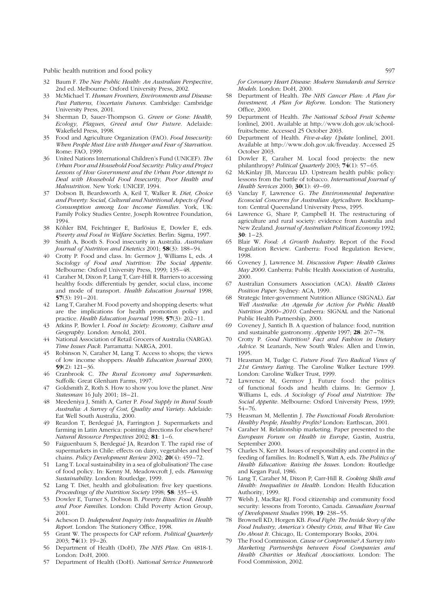Public health nutrition and food policy 597

- 32 Baum F. The New Public Health: An Australian Perspective, 2nd ed. Melbourne: Oxford University Press, 2002.
- 33 McMichael T. Human Frontiers, Environments and Disease: Past Patterns, Uncertain Futures. Cambridge: Cambridge University Press, 2001.
- 34 Sherman D, Sauer-Thompson G. Green or Gone: Health, Ecology, Plagues, Greed and Our Future. Adelaide: Wakefield Press, 1998.
- 35 Food and Agriculture Organization (FAO). Food Insecurity: When People Must Live with Hunger and Fear of Starvation. Rome: FAO, 1999.
- 36 United Nations International Children's Fund (UNICEF). The Urban Poor and Household Food Security: Policy and Project Lessons of How Government and the Urban Poor Attempt to Deal with Household Food Insecurity, Poor Health and Malnutrition. New York: UNICEF, 1994.
- 37 Dobson B, Beardsworth A, Keil T, Walker R. Diet, Choice and Poverty: Social, Cultural and Nutritional Aspects of Food Consumption among Low Income Families. York, UK: Family Policy Studies Centre, Joseph Rowntree Foundation, 1994.
- 38 Köhler BM, Feichtinger E, Barlösius E, Dowler E, eds. Poverty and Food in Welfare Societies. Berlin: Sigma, 1997.
- 39 Smith A, Booth S. Food insecurity in Australia. Australian Journal of Nutrition and Dietetics 2001; 58(3): 188–94.
- 40 Crotty P. Food and class. In: Germov J, Williams L, eds. A Sociology of Food and Nutrition: The Social Appetite. Melbourne: Oxford University Press, 1999; 135–48.
- 41 Caraher M, Dixon P, Lang T, Carr-Hill R. Barriers to accessing healthy foods: differentials by gender, social class, income and mode of transport. Health Education Journal 1998;  $57(3): 191 - 201.$
- 42 Lang T, Caraher M. Food poverty and shopping deserts: what are the implications for health promotion policy and practice. Health Education Journal 1998; 57(3): 202–11.
- 43 Atkins P, Bowler I. Food in Society: Economy, Culture and Geography. London: Arnold, 2001.
- 44 National Association of Retail Grocers of Australia (NARGA). Time Issues Pack. Parramatta: NARGA, 2001.
- 45 Robinson N, Caraher M, Lang T. Access to shops; the views of low income shoppers. Health Education Journal 2000; 59(2): 121–36.
- 46 Cranbrook C. The Rural Economy and Supermarkets. Suffolk: Great Glenham Farms, 1997.
- 47 Goldsmith Z, Roth S. How to show you love the planet. New Statesman 16 July 2001; 18–21.
- 48 Meedeniya J, Smith A, Carter P. Food Supply in Rural South Australia: A Survey of Cost, Quality and Variety. Adelaide: Eat Well South Australia, 2000.
- 49 Reardon T, Berdegué JA, Farrington J. Supermarkets and farming in Latin America: pointing directions for elsewhere? Natural Resource Perspectives 2002; 81: 1–6.
- 50 Faiguenbaum S, Berdegué JA, Reardon T. The rapid rise of supermarkets in Chile: effects on dairy, vegetables and beef chains. Policy Development Review 2002; 20(4): 459–72.
- 51 Lang T. Local sustainability in a sea of globalisation? The case of food policy. In: Kenny M, Meadowcroft J, eds. Planning Sustainability. London: Routledge, 1999.
- Lang T. Diet, health and globalisation: five key questions. Proceedings of the Nutrition Society 1998; 58: 335-43.
- 53 Dowler E, Turner S, Dobson B. Poverty Bites: Food, Health and Poor Families. London: Child Poverty Action Group, 2001.
- 54 Acheson D. Independent Inquiry into Inequalities in Health Report. London: The Stationery Office, 1998.
- Grant W. The prospects for CAP reform. Political Quarterly  $2003 \cdot 74(1) \cdot 19 - 26$
- 56 Department of Health (DoH), The NHS Plan. Cm 4818-1. London: DoH, 2000.
- 57 Department of Health (DoH). National Service Framework

for Coronary Heart Disease: Modern Standards and Service Models. London: DoH, 2000.

- Department of Health. The NHS Cancer Plan: A Plan for Investment, A Plan for Reform. London: The Stationery Office, 2000.
- Department of Health. The National School Fruit Scheme [online], 2001. Available at http://www.doh.gov.uk/schoolfruitscheme. Accessed 25 October 2003.
- 60 Department of Health. Five-a-day Update [online], 2001. Available at http://www.doh.gov.uk/fiveaday. Accessed 25 October 2003.
- 61 Dowler E, Caraher M. Local food projects: the new philanthropy? Political Quarterly 2003;  $\overline{74}(1)$ : 57–65.
- 62 McKinlay JB, Marceau LD. Upstream health public policy: lessons from the battle of tobacco. International Journal of Health Services 2000; **30**(1): 49-69.
- 63 Vanclay F, Lawrence G. The Environmental Imperative: Ecosocial Concerns for Australian Agriculture. Rockhampton: Central Queensland University Press, 1995.
- Lawrence G, Share P, Campbell H. The restructuring of agriculture and rural society: evidence from Australia and New Zealand. Journal of Australian Political Economy 1992;  $30: 1-23.$
- 65 Blair W. Food: A Growth Industry. Report of the Food Regulation Review. Canberra: Food Regulation Review, 1998.
- 66 Coveney J, Lawrence M. Discussion Paper: Health Claims May 2000. Canberra: Public Health Association of Australia, 2000.
- 67 Australian Consumers Association (ACA). Health Claims Position Paper. Sydney: ACA, 1999.
- Strategic Inter-government Nutrition Alliance (SIGNAL). Eat Well Australia: An Agenda for Action for Public Health Nutrition 2000–2010. Canberra: SIGNAL and the National Public Health Partnership, 2000.
- 69 Coveney J, Santich B. A question of balance: food, nutrition and sustainable gastronomy. Appetite 1997; 28: 267–78.
- 70 Crotty P. Good Nutrition? Fact and Fashion in Dietary Advice. St Leanards, New South Wales: Allen and Unwin, 1995.
- 71 Heasman M, Tudge C. Future Food: Two Radical Views of 21st Century Eating. The Caroline Walker Lecture 1999. London: Caroline Walker Trust, 1999.
- 72 Lawrence M, Germov J. Future food: the politics of functional foods and health claims. In: Germov J, Williams L, eds. A Sociology of Food and Nutrition: The Social Appetite. Melbourne: Oxford University Press, 1999; 54–76.
- 73 Heasman M, Mellentin J. The Functional Foods Revolution: Healthy People, Healthy Profits? London: Earthscan, 2001.
- 74 Caraher M. Relationship marketing. Paper presented to the European Forum on Health in Europe, Gastin, Austria, September 2000.
- 75 Charles N, Kerr M. Issues of responsibility and control in the feeding of families. In: Rodmell S, Watt A, eds. The Politics of Health Education: Raising the Issues. London: Routledge and Kegan Paul, 1986.
- 76 Lang T, Caraher M, Dixon P, Carr-Hill R. Cooking Skills and Health: Inequalities in Health. London: Health Education Authority, 1999.
- Welsh J, MacRae RJ. Food citizenship and community food security: lessons from Toronto, Canada. Canadian Journal of Development Studies 1998; 19: 238–55.
- Brownell KD, Horgen KB. Food Fight: The Inside Story of the Food Industry, America's Obesity Crisis, and What We Can Do About It. Chicago, IL: Contemporary Books, 2004.
- The Food Commission. *Cause or Compromise? A Survey into* Marketing Partnerships between Food Companies and Health Charities or Medical Associations. London: The Food Commission, 2002.